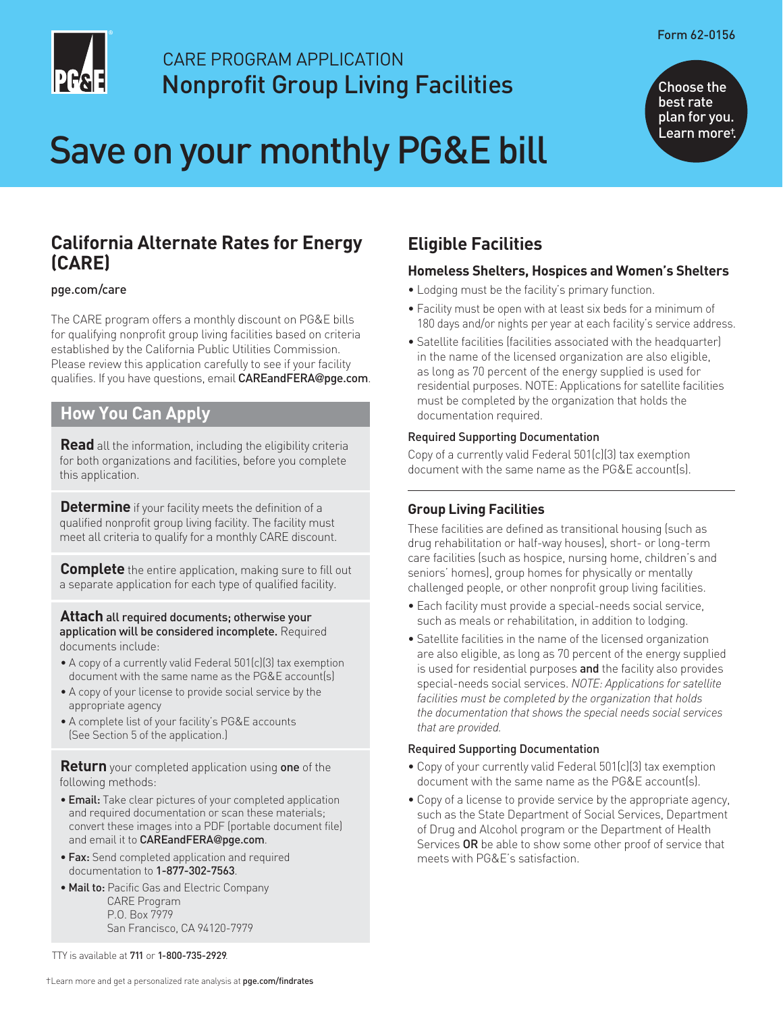

# CARE PROGRAM APPLICATION Nonprofit Group Living Facilities

# Save on your monthly PG&E bill



Choose the best rate plan for you. Learn more†.

# **California Alternate Rates for Energy (CARE)**

#### [pge.com/care](https://www.pge.com/en_US/residential/save-energy-money/help-paying-your-bill/longer-term-assistance/care/care.page?WT.mc_id=Vanity_care)

The CARE program offers a monthly discount on PG&E bills for qualifying nonprofit group living facilities based on criteria established by the California Public Utilities Commission. Please review this application carefully to see if your facility qualifies. If you have questions, email [CAREandFERA](mailto:CAREandFERA@pge.com)@pge.com.

## **How You Can Apply**

**Read** all the information, including the eligibility criteria for both organizations and facilities, before you complete this application.

**Determine** if your facility meets the definition of a qualified nonprofit group living facility. The facility must meet all criteria to qualify for a monthly CARE discount.

**Complete** the entire application, making sure to fill out a separate application for each type of qualified facility.

#### **Attach** all required documents; otherwise your application will be considered incomplete. Required documents include:

- A copy of a currently valid Federal 501(c)(3) tax exemption document with the same name as the PG&E account(s)
- A copy of your license to provide social service by the appropriate agency
- A complete list of your facility's PG&E accounts (See Section 5 of the application.)

**Return** your completed application using one of the following methods:

- Email: Take clear pictures of your completed application and required documentation or scan these materials; convert these images into a PDF (portable document file) and email it to [CAREandFERA](mailto:CAREandFERA@pge.com)@pge.com.
- Fax: Send completed application and required documentation to 1-877-302-7563.
- Mail to: Pacific Gas and Electric Company CARE Program P.O. Box 7979 San Francisco, CA 94120-7979

**Eligible Facilities** 

#### **Homeless Shelters, Hospices and Women's Shelters**

- Lodging must be the facility's primary function.
- Facility must be open with at least six beds for a minimum of 180 days and/or nights per year at each facility's service address.
- Satellite facilities (facilities associated with the headquarter) in the name of the licensed organization are also eligible, as long as 70 percent of the energy supplied is used for residential purposes. NOTE: Applications for satellite facilities must be completed by the organization that holds the documentation required.

#### Required Supporting Documentation

Copy of a currently valid Federal 501(c)(3) tax exemption document with the same name as the PG&E account(s).

#### **Group Living Facilities**

These facilities are defined as transitional housing (such as drug rehabilitation or half-way houses), short- or long-term care facilities (such as hospice, nursing home, children's and seniors' homes), group homes for physically or mentally challenged people, or other nonprofit group living facilities.

- Each facility must provide a special-needs social service, such as meals or rehabilitation, in addition to lodging.
- Satellite facilities in the name of the licensed organization are also eligible, as long as 70 percent of the energy supplied is used for residential purposes and the facility also provides special-needs social services. *NOTE: Applications for satellite facilities must be completed by the organization that holds the documentation that shows the special needs social services that are provided.*

#### Required Supporting Documentation

- Copy of your currently valid Federal 501(c)(3) tax exemption document with the same name as the PG&E account(s).
- Copy of a license to provide service by the appropriate agency, such as the State Department of Social Services, Department of Drug and Alcohol program or the Department of Health Services OR be able to show some other proof of service that meets with PG&E's satisfaction.

TTY is available at 711 or 1-800-735-2929.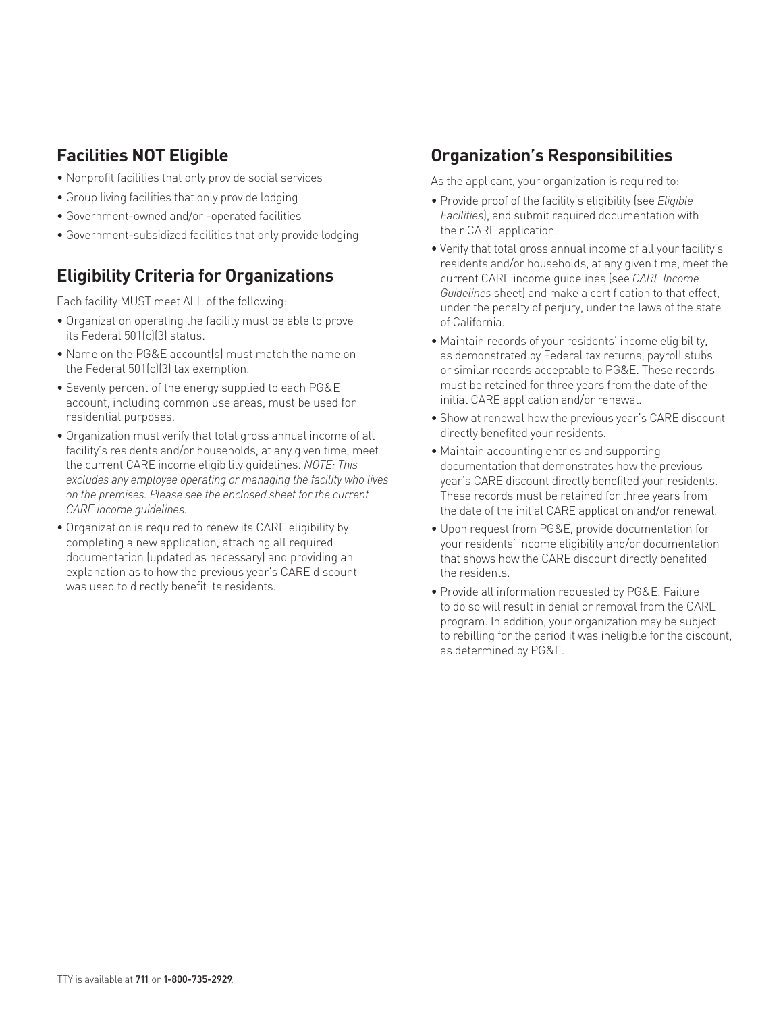# **Facilities NOT Eligible**

- Nonprofit facilities that only provide social services
- Group living facilities that only provide lodging
- Government-owned and/or -operated facilities
- Government-subsidized facilities that only provide lodging

# **Eligibility Criteria for Organizations**

Each facility MUST meet ALL of the following:

- Organization operating the facility must be able to prove its Federal 501(c)(3) status.
- Name on the PG&E account(s) must match the name on the Federal 501(c)(3) tax exemption.
- Seventy percent of the energy supplied to each PG&E account, including common use areas, must be used for residential purposes.
- Organization must verify that total gross annual income of all facility's residents and/or households, at any given time, meet the current CARE income eligibility guidelines. *NOTE: This excludes any employee operating or managing the facility who lives on the premises. Please see the enclosed sheet for the current CARE income guidelines.*
- Organization is required to renew its CARE eligibility by completing a new application, attaching all required documentation (updated as necessary) and providing an explanation as to how the previous year's CARE discount was used to directly benefit its residents.

## **Organization's Responsibilities**

As the applicant, your organization is required to:

- Provide proof of the facility's eligibility (see *Eligible Facilities*), and submit required documentation with their CARE application.
- Verify that total gross annual income of all your facility's residents and/or households, at any given time, meet the current CARE income guidelines (see *CARE Income Guidelines* sheet) and make a certification to that effect, under the penalty of perjury, under the laws of the state of California.
- Maintain records of your residents' income eligibility, as demonstrated by Federal tax returns, payroll stubs or similar records acceptable to PG&E. These records must be retained for three years from the date of the initial CARE application and/or renewal.
- Show at renewal how the previous year's CARE discount directly benefited your residents.
- Maintain accounting entries and supporting documentation that demonstrates how the previous year's CARE discount directly benefited your residents. These records must be retained for three years from the date of the initial CARE application and/or renewal.
- Upon request from PG&E, provide documentation for your residents' income eligibility and/or documentation that shows how the CARE discount directly benefited the residents.
- Provide all information requested by PG&E. Failure to do so will result in denial or removal from the CARE program. In addition, your organization may be subject to rebilling for the period it was ineligible for the discount, as determined by PG&E.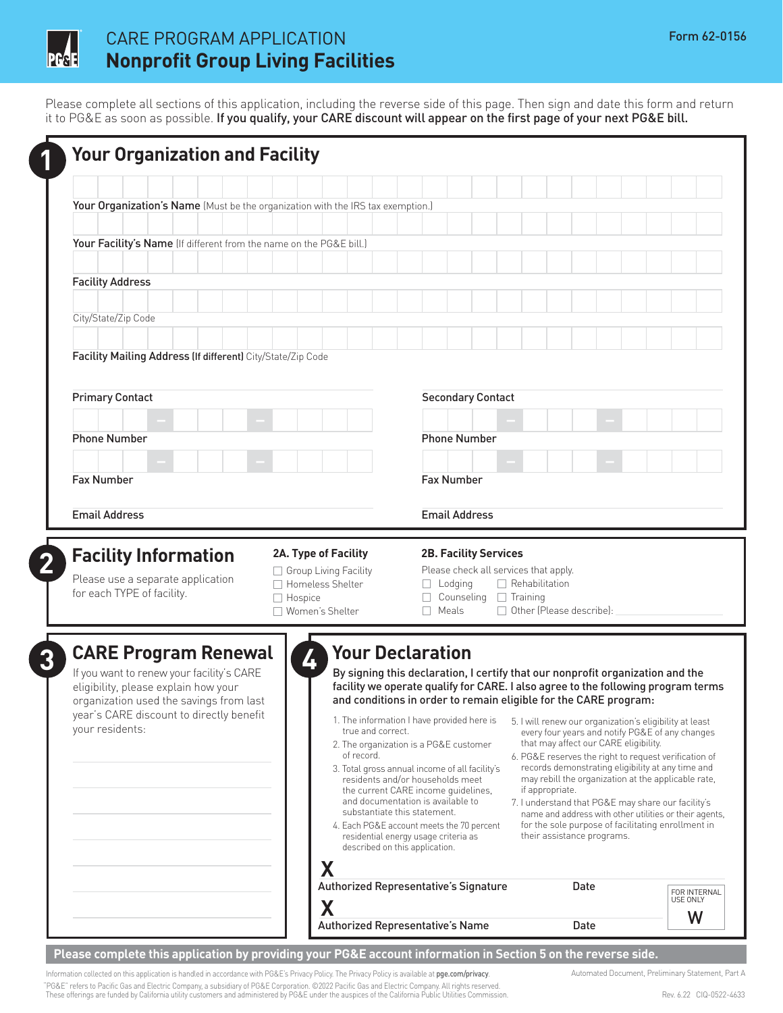

# CARE PROGRAM APPLICATION Form 62-0156 **Nonprofit Group Living Facilities**

Please complete all sections of this application, including the reverse side of this page. Then sign and date this form and return it to PG&E as soon as possible. If you qualify, your CARE discount will appear on the first page of your next PG&E bill.

| Your Organization's Name (Must be the organization with the IRS tax exemption.)                                                                                                                                            |                                                                     |                                                                                                                                                                                                                                                                                                                                                                                                                                          |                                                                                                                                                                                                                                                                                                                                                                                                                                                                                                                                                                                                                                                                                                                                                                                            |                          |
|----------------------------------------------------------------------------------------------------------------------------------------------------------------------------------------------------------------------------|---------------------------------------------------------------------|------------------------------------------------------------------------------------------------------------------------------------------------------------------------------------------------------------------------------------------------------------------------------------------------------------------------------------------------------------------------------------------------------------------------------------------|--------------------------------------------------------------------------------------------------------------------------------------------------------------------------------------------------------------------------------------------------------------------------------------------------------------------------------------------------------------------------------------------------------------------------------------------------------------------------------------------------------------------------------------------------------------------------------------------------------------------------------------------------------------------------------------------------------------------------------------------------------------------------------------------|--------------------------|
|                                                                                                                                                                                                                            |                                                                     |                                                                                                                                                                                                                                                                                                                                                                                                                                          |                                                                                                                                                                                                                                                                                                                                                                                                                                                                                                                                                                                                                                                                                                                                                                                            |                          |
| Your Facility's Name (If different from the name on the PG&E bill.)                                                                                                                                                        |                                                                     |                                                                                                                                                                                                                                                                                                                                                                                                                                          |                                                                                                                                                                                                                                                                                                                                                                                                                                                                                                                                                                                                                                                                                                                                                                                            |                          |
|                                                                                                                                                                                                                            |                                                                     |                                                                                                                                                                                                                                                                                                                                                                                                                                          |                                                                                                                                                                                                                                                                                                                                                                                                                                                                                                                                                                                                                                                                                                                                                                                            |                          |
| <b>Facility Address</b>                                                                                                                                                                                                    |                                                                     |                                                                                                                                                                                                                                                                                                                                                                                                                                          |                                                                                                                                                                                                                                                                                                                                                                                                                                                                                                                                                                                                                                                                                                                                                                                            |                          |
|                                                                                                                                                                                                                            |                                                                     |                                                                                                                                                                                                                                                                                                                                                                                                                                          |                                                                                                                                                                                                                                                                                                                                                                                                                                                                                                                                                                                                                                                                                                                                                                                            |                          |
| City/State/Zip Code                                                                                                                                                                                                        |                                                                     |                                                                                                                                                                                                                                                                                                                                                                                                                                          |                                                                                                                                                                                                                                                                                                                                                                                                                                                                                                                                                                                                                                                                                                                                                                                            |                          |
| Facility Mailing Address (If different) City/State/Zip Code                                                                                                                                                                |                                                                     |                                                                                                                                                                                                                                                                                                                                                                                                                                          |                                                                                                                                                                                                                                                                                                                                                                                                                                                                                                                                                                                                                                                                                                                                                                                            |                          |
|                                                                                                                                                                                                                            |                                                                     |                                                                                                                                                                                                                                                                                                                                                                                                                                          |                                                                                                                                                                                                                                                                                                                                                                                                                                                                                                                                                                                                                                                                                                                                                                                            |                          |
| <b>Primary Contact</b>                                                                                                                                                                                                     | <b>Secondary Contact</b>                                            |                                                                                                                                                                                                                                                                                                                                                                                                                                          |                                                                                                                                                                                                                                                                                                                                                                                                                                                                                                                                                                                                                                                                                                                                                                                            |                          |
|                                                                                                                                                                                                                            |                                                                     |                                                                                                                                                                                                                                                                                                                                                                                                                                          |                                                                                                                                                                                                                                                                                                                                                                                                                                                                                                                                                                                                                                                                                                                                                                                            |                          |
| <b>Phone Number</b>                                                                                                                                                                                                        | <b>Phone Number</b>                                                 |                                                                                                                                                                                                                                                                                                                                                                                                                                          |                                                                                                                                                                                                                                                                                                                                                                                                                                                                                                                                                                                                                                                                                                                                                                                            |                          |
|                                                                                                                                                                                                                            |                                                                     |                                                                                                                                                                                                                                                                                                                                                                                                                                          |                                                                                                                                                                                                                                                                                                                                                                                                                                                                                                                                                                                                                                                                                                                                                                                            |                          |
| <b>Fax Number</b>                                                                                                                                                                                                          |                                                                     | <b>Fax Number</b>                                                                                                                                                                                                                                                                                                                                                                                                                        |                                                                                                                                                                                                                                                                                                                                                                                                                                                                                                                                                                                                                                                                                                                                                                                            |                          |
| <b>Email Address</b>                                                                                                                                                                                                       |                                                                     | <b>Email Address</b>                                                                                                                                                                                                                                                                                                                                                                                                                     |                                                                                                                                                                                                                                                                                                                                                                                                                                                                                                                                                                                                                                                                                                                                                                                            |                          |
|                                                                                                                                                                                                                            |                                                                     |                                                                                                                                                                                                                                                                                                                                                                                                                                          |                                                                                                                                                                                                                                                                                                                                                                                                                                                                                                                                                                                                                                                                                                                                                                                            |                          |
| <b>Facility Information</b>                                                                                                                                                                                                | 2A. Type of Facility<br>Group Living Facility                       | <b>2B. Facility Services</b><br>Please check all services that apply.                                                                                                                                                                                                                                                                                                                                                                    |                                                                                                                                                                                                                                                                                                                                                                                                                                                                                                                                                                                                                                                                                                                                                                                            |                          |
| Please use a separate application<br>for each TYPE of facility.                                                                                                                                                            | $\Box$ Homeless Shelter<br>$\Box$ Hospice<br>$\Box$ Women's Shelter | Lodging<br>Counseling $\Box$ Training<br>Meals                                                                                                                                                                                                                                                                                                                                                                                           | $\Box$ Rehabilitation<br>□ Other (Please describe):                                                                                                                                                                                                                                                                                                                                                                                                                                                                                                                                                                                                                                                                                                                                        |                          |
| <b>CARE Program Renewal</b><br>If you want to renew your facility's CARE<br>eligibility, please explain how your<br>organization used the savings from last<br>year's CARE discount to directly benefit<br>your residents: | 4<br>true and correct.<br>of record.<br>Χ                           | <b>Your Declaration</b><br>1. The information I have provided here is<br>2. The organization is a PG&E customer<br>3. Total gross annual income of all facility's<br>residents and/or households meet<br>the current CARE income quidelines,<br>and documentation is available to<br>substantiate this statement.<br>4. Each PG&E account meets the 70 percent<br>residential energy usage criteria as<br>described on this application. | By signing this declaration, I certify that our nonprofit organization and the<br>facility we operate qualify for CARE. I also agree to the following program terms<br>and conditions in order to remain eligible for the CARE program:<br>5. I will renew our organization's eligibility at least<br>every four years and notify PG&E of any changes<br>that may affect our CARE eligibility.<br>6. PG&E reserves the right to request verification of<br>records demonstrating eligibility at any time and<br>may rebill the organization at the applicable rate,<br>if appropriate.<br>7. I understand that PG&E may share our facility's<br>name and address with other utilities or their agents,<br>for the sole purpose of facilitating enrollment in<br>their assistance programs. |                          |
|                                                                                                                                                                                                                            | X                                                                   | Authorized Representative's Signature                                                                                                                                                                                                                                                                                                                                                                                                    | Date                                                                                                                                                                                                                                                                                                                                                                                                                                                                                                                                                                                                                                                                                                                                                                                       | FOR INTERNAL<br>USE ONLY |

**Please complete this application by providing your PG&E account information in Section 5 on the reverse side.** 

Information collected on this application is handled in accordance with PG&E's Privacy Policy. The Privacy Policy is available at [pge.com/privacy](https://www.pge.com/en_US/about-pge/company-information/privacy-policy/privacy.page?WT.mc_id=Vanity_privacy). Automated Document, Preliminary Statement, Part A "PG&E" refers to Pacific Gas and Electric Company, a subsidiary of PG&E Corporation. ©2022 Pacific Gas and Electric Company. All rights reserved.<br>These offerings are funded by California utility customers and administered